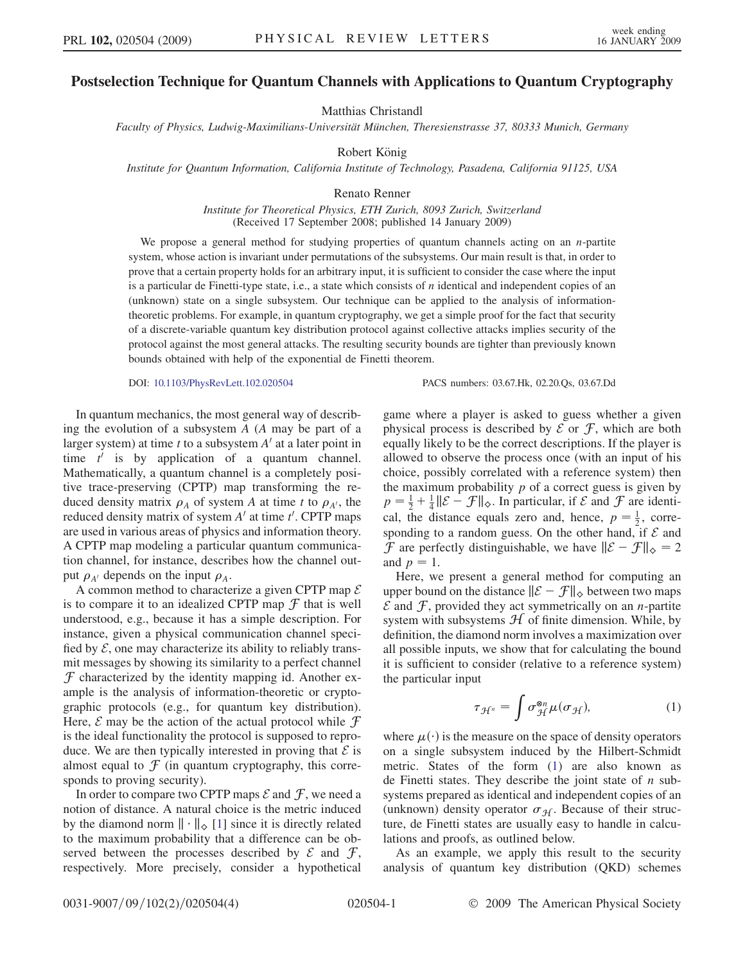## Postselection Technique for Quantum Channels with Applications to Quantum Cryptography

Matthias Christandl

Faculty of Physics, Ludwig-Maximilians-Universität München, Theresienstrasse 37, 80333 Munich, Germany

Robert König

Institute for Quantum Information, California Institute of Technology, Pasadena, California 91125, USA

Renato Renner

Institute for Theoretical Physics, ETH Zurich, 8093 Zurich, Switzerland (Received 17 September 2008; published 14 January 2009)

We propose a general method for studying properties of quantum channels acting on an  $n$ -partite system, whose action is invariant under permutations of the subsystems. Our main result is that, in order to prove that a certain property holds for an arbitrary input, it is sufficient to consider the case where the input is a particular de Finetti-type state, i.e., a state which consists of  $n$  identical and independent copies of an (unknown) state on a single subsystem. Our technique can be applied to the analysis of informationtheoretic problems. For example, in quantum cryptography, we get a simple proof for the fact that security of a discrete-variable quantum key distribution protocol against collective attacks implies security of the protocol against the most general attacks. The resulting security bounds are tighter than previously known bounds obtained with help of the exponential de Finetti theorem.

DOI: [10.1103/PhysRevLett.102.020504](http://dx.doi.org/10.1103/PhysRevLett.102.020504) PACS numbers: 03.67.Hk, 02.20.Qs, 03.67.Dd

In quantum mechanics, the most general way of describing the evolution of a subsystem A (A may be part of a larger system) at time t to a subsystem  $A<sup>t</sup>$  at a later point in time  $t'$  is by application of a quantum channel. Mathematically, a quantum channel is a completely positive trace-preserving (CPTP) map transforming the reduced density matrix  $\rho_A$  of system A at time t to  $\rho_{A'}$ , the reduced density matrix of system  $A'$  at time  $t'$ . CPTP maps are used in various areas of physics and information theory. A CPTP map modeling a particular quantum communication channel, for instance, describes how the channel output  $\rho_{A}$  depends on the input  $\rho_{A}$ .

A common method to characterize a given CPTP map  $\mathcal E$ is to compare it to an idealized CPTP map  $\mathcal F$  that is well understood, e.g., because it has a simple description. For instance, given a physical communication channel specified by  $\mathcal{E}$ , one may characterize its ability to reliably transmit messages by showing its similarity to a perfect channel  $\mathcal F$  characterized by the identity mapping id. Another example is the analysis of information-theoretic or cryptographic protocols (e.g., for quantum key distribution). Here,  $\mathcal E$  may be the action of the actual protocol while  $\mathcal F$ is the ideal functionality the protocol is supposed to reproduce. We are then typically interested in proving that  $\mathcal E$  is almost equal to  $\mathcal F$  (in quantum cryptography, this corresponds to proving security).

In order to compare two CPTP maps  $\mathcal E$  and  $\mathcal F$ , we need a notion of distance. A natural choice is the metric induced by the diamond norm  $\|\cdot\|_{\diamond}$  [1] since it is directly related to the maximum probability that a difference can be observed between the processes described by  $\mathcal E$  and  $\mathcal F$ , respectively. More precisely, consider a hypothetical game where a player is asked to guess whether a given physical process is described by  $\mathcal E$  or  $\mathcal F$ , which are both equally likely to be the correct descriptions. If the player is allowed to observe the process once (with an input of his choice, possibly correlated with a reference system) then the maximum probability  $p$  of a correct guess is given by  $p = \frac{1}{2} + \frac{1}{4} ||\mathcal{E} - \mathcal{F}||_{\infty}$ . In particular, if  $\mathcal E$  and  $\mathcal F$  are identi-<br>cal the distance equals zero and hence  $n = \frac{1}{4}$  correcal, the distance equals zero and, hence,  $p = \frac{1}{2}$ , corre-<br>sponding to a random guess. On the other hand if  $\mathcal{E}$  and sponding to a random guess. On the other hand, if  $\mathcal E$  and  $\mathcal{F}$  are perfectly distinguishable, we have  $||\mathcal{E} - \mathcal{F}||_{\diamond} = 2$ <br>and  $n = 1$ and  $p = 1$ .

Here, we present a general method for computing an upper bound on the distance  $\|\mathcal{E} - \mathcal{F}\|_{\diamond}$  between two maps  $\mathcal{E}$  and  $\mathcal{F}$  provided they act symmetrically on an *n*-partite  $\mathcal E$  and  $\mathcal F$ , provided they act symmetrically on an *n*-partite system with subsystems  $H$  of finite dimension. While, by definition, the diamond norm involves a maximization over all possible inputs, we show that for calculating the bound it is sufficient to consider (relative to a reference system) the particular input

$$
\tau_{\mathcal{H}^n} = \int \sigma_{\mathcal{H}}^{\otimes n} \mu(\sigma_{\mathcal{H}}), \tag{1}
$$

<span id="page-0-0"></span>where  $\mu(\cdot)$  is the measure on the space of density operators on a single subsystem induced by the Hilbert-Schmidt metric. States of the form ([1\)](#page-0-0) are also known as de Finetti states. They describe the joint state of  $n$  subsystems prepared as identical and independent copies of an (unknown) density operator  $\sigma_{\mathcal{H}}$ . Because of their structure, de Finetti states are usually easy to handle in calculations and proofs, as outlined below.

As an example, we apply this result to the security analysis of quantum key distribution (QKD) schemes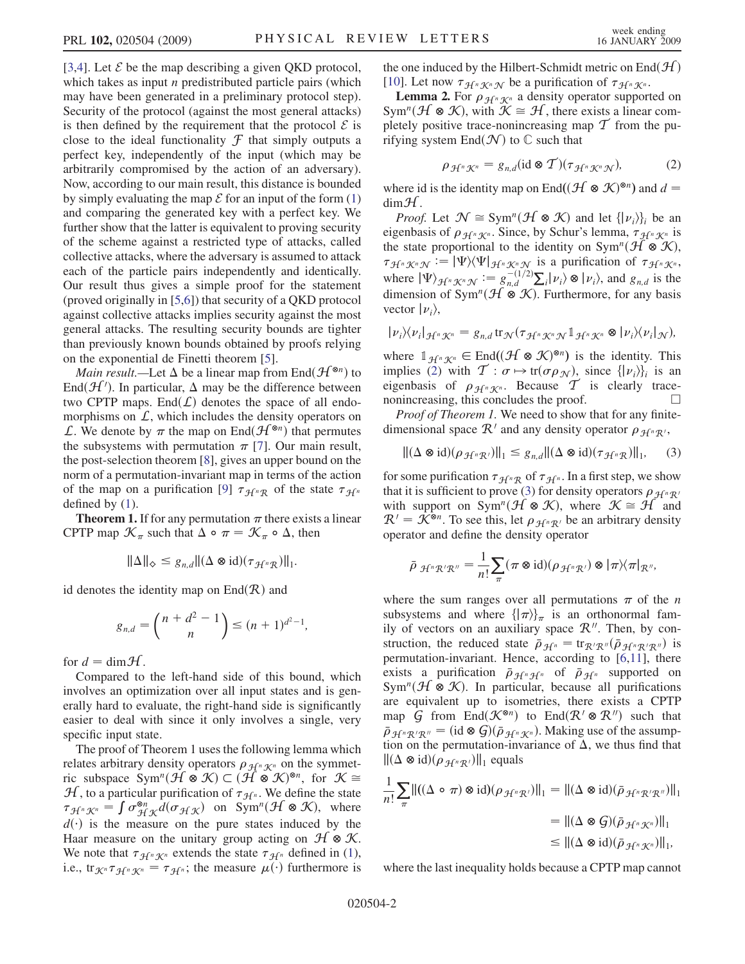[3,4]. Let  $\mathcal E$  be the map describing a given QKD protocol, which takes as input  $n$  predistributed particle pairs (which may have been generated in a preliminary protocol step). Security of the protocol (against the most general attacks) is then defined by the requirement that the protocol  $\mathcal E$  is close to the ideal functionality  $\mathcal F$  that simply outputs a perfect key, independently of the input (which may be arbitrarily compromised by the action of an adversary). Now, according to our main result, this distance is bounded by simply evaluating the map  $\mathcal E$  for an input of the form [\(1\)](#page-0-0) and comparing the generated key with a perfect key. We further show that the latter is equivalent to proving security of the scheme against a restricted type of attacks, called collective attacks, where the adversary is assumed to attack each of the particle pairs independently and identically. Our result thus gives a simple proof for the statement (proved originally in [5,6]) that security of a QKD protocol against collective attacks implies security against the most general attacks. The resulting security bounds are tighter than previously known bounds obtained by proofs relying on the exponential de Finetti theorem [5].

*Main result.*—Let  $\Delta$  be a linear map from End $(\mathcal{H}^{\otimes n})$  to End $(H')$ . In particular,  $\Delta$  may be the difference between two CPTP mans. End(f) denotes the space of all endotwo CPTP maps. End $(L)$  denotes the space of all endomorphisms on  $\mathcal{L}$ , which includes the density operators on L. We denote by  $\pi$  the map on End $(\mathcal{H}^{\otimes n})$  that permutes the subsystems with permutation  $\pi$  [7]. Our main result, the post-selection theorem [8], gives an upper bound on the norm of a permutation-invariant map in terms of the action of the map on a purification [9]  $\tau_{\mathcal{H}^nR}$  of the state  $\tau_{\mathcal{H}^n}$ defined by ([1](#page-0-0)).

**Theorem 1.** If for any permutation  $\pi$  there exists a linear CPTP map  $\mathcal{K}_{\pi}$  such that  $\Delta \circ \pi = \mathcal{K}_{\pi} \circ \Delta$ , then

$$
\|\Delta\|_{\diamondsuit}\leq g_{n,d}\|(\Delta\otimes\mathrm{id})(\tau_{\mathcal{H}^n\mathcal{R}})\|_1.
$$

id denotes the identity map on  $End(R)$  and

$$
g_{n,d} = {n+d^2-1 \choose n} \le (n+1)^{d^2-1},
$$

for  $d = \text{dim} \mathcal{H}$ .

Compared to the left-hand side of this bound, which involves an optimization over all input states and is generally hard to evaluate, the right-hand side is significantly easier to deal with since it only involves a single, very specific input state.

The proof of Theorem 1 uses the following lemma which relates arbitrary density operators  $\rho_{\mathcal{H}^n\mathcal{K}^n}$  on the symmetric subspace  $Sym^n(H \otimes K) \subset (H \otimes K)^{\otimes n}$ , for  $K \cong H$  to a particular purification of  $\tau_{\leq K}$ . We define the state  $\mathcal{H}$ , to a particular purification of  $\tau_{\mathcal{H}^n}$ . We define the state  $\tau_{\mathcal{H}^n\mathcal{K}^n} = \int \sigma_{\mathcal{H}\mathcal{K}}^{\otimes n} d(\sigma_{\mathcal{H}\mathcal{K}})$  on Sym<sup>n</sup>( $\mathcal{H} \otimes \mathcal{K}$ ), where  $d(\cdot)$  is the measure on the pure states induced by the Haar measure on the unitary group acting on  $H \otimes K$ . We note that  $\tau_{\mathcal{H}^n\mathcal{K}^n}$  extends the state  $\tau_{\mathcal{H}^n}$  defined in ([1\)](#page-0-0), i.e., tr $\chi$ <sup>n</sup> $\tau_{\mathcal{H}^n}\chi$ <sup>n</sup> =  $\tau_{\mathcal{H}^n}$ ; the measure  $\mu(\cdot)$  furthermore is the one induced by the Hilbert-Schmidt metric on  $\text{End}(\mathcal{H})$ [10]. Let now  $\tau_{\mathcal{H}^n\mathcal{K}^n\mathcal{N}}$  be a purification of  $\tau_{\mathcal{H}^n\mathcal{K}^n}$ .

**Lemma 2.** For  $\rho_{\mathcal{H}^n\mathcal{K}^n}$  a density operator supported on  $m^n(\mathcal{H} \otimes \mathcal{K})$  with  $\mathcal{K} \cong \mathcal{H}$  there exists a linear com-Sym<sup>n</sup>( $\mathcal{H} \otimes \mathcal{K}$ ), with  $\mathcal{K} \cong \mathcal{H}$ , there exists a linear com-<br>pletely positive trace-ponincreasing man  $\mathcal{T}$  from the pupletely positive trace-nonincreasing map  $\mathcal T$  from the purifying system End $(\mathcal{N})$  to  $\mathbb C$  such that

$$
\rho_{\mathcal{H}^n\mathcal{K}^n}=g_{n,d}(\text{id}\otimes\mathcal{T})(\tau_{\mathcal{H}^n\mathcal{K}^n\mathcal{N}}),\qquad(2)
$$

<span id="page-1-0"></span>where id is the identity map on End $((\mathcal{H} \otimes \mathcal{K})^{\otimes n})$  and  $d =$  $dim\mathcal{H}$ .

*Proof.* Let  $\mathcal{N} \cong \text{Sym}^n(\mathcal{H} \otimes \mathcal{K})$  and let  $\{|\nu_i\rangle\}_i$  be an eigenbasis of  $\rho_{\mathcal{H}^n\mathcal{K}^n}$ . Since, by Schur's lemma,  $\tau_{\mathcal{H}^n\mathcal{K}^n}$  is the state proportional to the identity on Sym<sup>n</sup>( $\mathcal{H} \otimes \mathcal{K}$ ),  $\tau_{\mathcal{H}^n\mathcal{K}^n\mathcal{N}} := |\Psi\rangle\langle\Psi|_{\mathcal{H}^n\mathcal{K}^n\mathcal{N}}$  is a purification of  $\tau_{\mathcal{H}^n\mathcal{K}^n}$ ,<br>where  $|\Psi\rangle$ where  $|\Psi\rangle_{H^n\mathcal{K}^n\mathcal{N}} := g_{n,d}^{-(1/2)} \sum_i |\nu_i\rangle \otimes |\nu_i\rangle$ , and  $g_{n,d}$  is the dimension of Sym<sup>n</sup>( $\Psi \otimes \mathcal{K}$ ). Eurthermore, for any hesis dimension of Sym<sup>n</sup>( $\mathcal{H} \otimes \mathcal{K}$ ). Furthermore, for any basis vector  $|\nu_i\rangle$ ,

$$
|\nu_i\rangle\langle\nu_i|_{\mathcal{H}^n\mathcal{K}^n}=g_{n,d}\operatorname{tr}_{\mathcal{N}}(\tau_{\mathcal{H}^n\mathcal{K}^n\mathcal{N}}\mathbb{1}_{\mathcal{H}^n\mathcal{K}^n}\otimes|\nu_i\rangle\langle\nu_i|_{\mathcal{N}}),
$$

where  $1_{\mathcal{H}^n\mathcal{K}^n} \in \text{End}((\mathcal{H} \otimes \mathcal{K})^{\otimes n})$  is the identity. This implies ([2\)](#page-1-0) with  $\mathcal{T} : \sigma \mapsto \text{tr}(\sigma \rho_{\mathcal{N}})$ , since  $\{|\nu_i\rangle\}_i$  is an eigenbasis of  $\rho_{\mathcal{H}^n \mathcal{K}^n}$ . Because  $\mathcal{T}$  is clearly tracenonincreasing, this concludes the proof.  $\Box$ 

<span id="page-1-1"></span>Proof of Theorem 1. We need to show that for any finitedimensional space  $\mathcal{R}^{\prime}$  and any density operator  $\rho_{\mathcal{H}^n\mathcal{R}^{\prime}}$ ,

$$
\|(\Delta \otimes \mathrm{id})(\rho_{\mathcal{H}^n\mathcal{R}'})\|_1 \leq g_{n,d} \|(\Delta \otimes \mathrm{id})(\tau_{\mathcal{H}^n\mathcal{R}})\|_1,\qquad(3)
$$

for some purification  $\tau_{\mathcal{H}^n\mathcal{R}}$  of  $\tau_{\mathcal{H}^n}$ . In a first step, we show that it is sufficient to prove ([3\)](#page-1-1) for density operators  $\rho_{H^nR}$ with support on  $Sym^n(\mathcal{H} \otimes \mathcal{K})$ , where  $\mathcal{K} \cong \mathcal{H}$  and  $\mathcal{R}^{\prime} = \mathcal{K}^{\otimes n}$ . To see this, let  $\rho_{\mathcal{H}^n\mathcal{R}^{\prime}}$  be an arbitrary density operator and define the density operator

$$
\bar{\rho} \, \mathop{\mathcal{H}}\nolimits^n \mathcal{R}' \mathcal{R}'' = \frac{1}{n!} \sum_{\pi} (\pi \otimes id)(\rho \mathop{\mathcal{H}}\nolimits^n \mathcal{R}')} \otimes |\pi\rangle \langle \pi|_{\mathcal{R}''},
$$

where the sum ranges over all permutations  $\pi$  of the *n* subsystems and where  $\{\ket{\pi}\}_{\pi}$  is an orthonormal family of vectors on an auxiliary space  $\mathcal{R}^{\prime\prime}$ . Then, by construction, the reduced state  $\bar{\rho}_{\mathcal{H}^n} = \text{tr}_{\mathcal{R}'\mathcal{R}^n}(\bar{\rho}_{\mathcal{H}^n\mathcal{R}'\mathcal{R}^n})$  is<br>permutation-invariant. Hence, according to [6.11], there permutation-invariant. Hence, according to [6,11], there exists a purification  $\bar{\rho}_{\mathcal{H}^n\mathcal{H}^n}$  of  $\bar{\rho}_{\mathcal{H}^n}$  supported on Sym<sup>n</sup>( $H \otimes K$ ). In particular, because all purifications are equivalent up to isometries, there exists a CPTP map G from End $(\mathcal{K}^{\otimes n})$  to End $(\mathcal{R}' \otimes \mathcal{R}'')$  such that  $\bar{p}_{\mathcal{H}^n \mathcal{R}^{\prime\prime}} = (\mathrm{id} \otimes \mathcal{G}) (\bar{p}_{\mathcal{H}^n \mathcal{K}^n})$ . Making use of the assumption on the permutation-invariance of  $\Lambda$ , we thus find that tion on the permutation-invariance of  $\Delta$ , we thus find that  $\|(\Delta \otimes id)(\rho_{\mathcal{H}^n\mathcal{R}})\|_1$  equals

$$
\frac{1}{n!} \sum_{\pi} ||((\Delta \circ \pi) \otimes id)(\rho_{\mathcal{H}^n \mathcal{R}'})||_1 = ||(\Delta \otimes id)(\bar{\rho}_{\mathcal{H}^n \mathcal{R}' \mathcal{R}''})||_1
$$
  
=  $||(\Delta \otimes \mathcal{G})(\bar{\rho}_{\mathcal{H}^n \mathcal{K}''})||_1$   
 $\le ||(\Delta \otimes id)(\bar{\rho}_{\mathcal{H}^n \mathcal{K}''})||_1,$ 

where the last inequality holds because a CPTP map cannot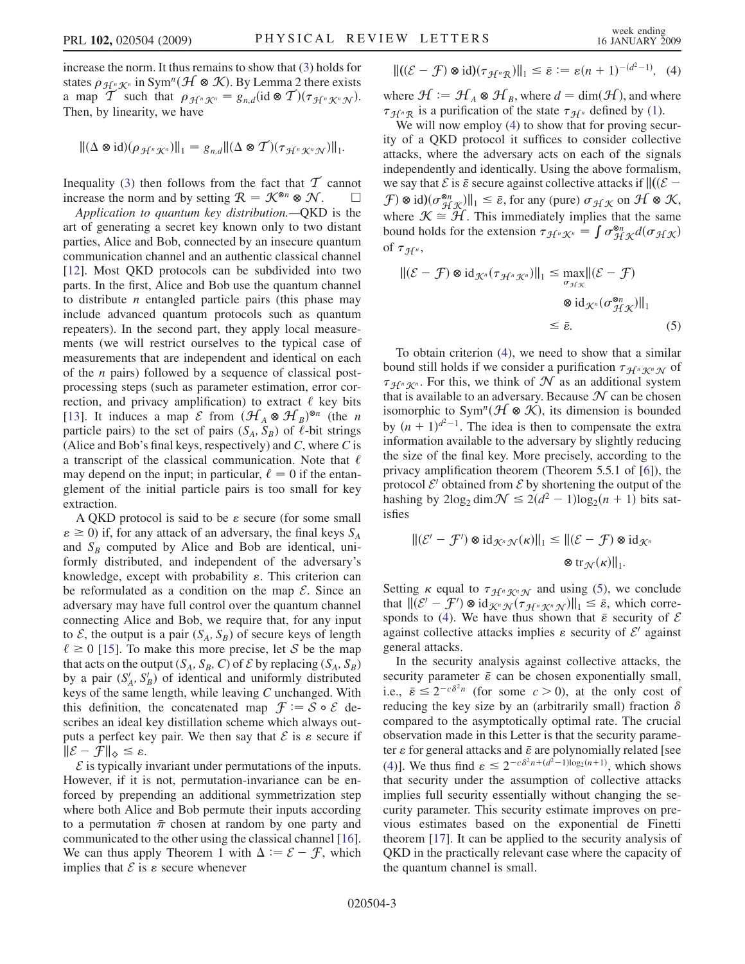increase the norm. It thus remains to show that [\(3](#page-1-1)) holds for states  $\rho_{\mathcal{H}^n\mathcal{K}^n}$  in Sym<sup>n</sup>( $\mathcal{H} \otimes \mathcal{K}$ ). By Lemma 2 there exists a man  $\mathcal{T}$  such that  $\rho_{\mathcal{A}C_0\mathcal{K}C_0} = g$  (id  $\otimes \mathcal{T}$ )( $\tau_{\mathcal{A}C_0\mathcal{K}C_0\mathcal{K}C_0}$ ) a map T such that  $\rho_{\mathcal{H}^n\mathcal{K}^n} = g_{n,d}(\text{id} \otimes \mathcal{T})(\tau_{\mathcal{H}^n\mathcal{K}^n\mathcal{N}}).$ <br>Then by linearity we have Then, by linearity, we have

$$
\|(\Delta \otimes id)(\rho_{\mathcal{H}^n\mathcal{K}^n})\|_1 = g_{n,d} \|(\Delta \otimes \mathcal{T})(\tau_{\mathcal{H}^n\mathcal{K}^n\mathcal{N}})\|_1.
$$

Inequality [\(3](#page-1-1)) then follows from the fact that  $\mathcal T$  cannot increase the norm and by setting  $\mathcal{R} = \mathcal{K}^{\otimes n} \otimes \mathcal{N}$ .  $\Box$ 

Application to quantum key distribution.—QKD is the art of generating a secret key known only to two distant parties, Alice and Bob, connected by an insecure quantum communication channel and an authentic classical channel [12]. Most QKD protocols can be subdivided into two parts. In the first, Alice and Bob use the quantum channel to distribute  $n$  entangled particle pairs (this phase may include advanced quantum protocols such as quantum repeaters). In the second part, they apply local measurements (we will restrict ourselves to the typical case of measurements that are independent and identical on each of the *n* pairs) followed by a sequence of classical postprocessing steps (such as parameter estimation, error correction, and privacy amplification) to extract  $\ell$  key bits [13]. It induces a map  $\mathcal E$  from  $(\mathcal H_A \otimes \mathcal H_B)^{\otimes n}$  (the *n* narticle pairs) to the set of pairs  $(S, S_n)$  of  $\ell$ -bit strings particle pairs) to the set of pairs  $(S_A, S_B)$  of  $\ell$ -bit strings (Alice and Bob's final keys, respectively) and  $C$ , where  $C$  is a transcript of the classical communication. Note that  $\ell$ may depend on the input; in particular,  $\ell = 0$  if the entanglement of the initial particle pairs is too small for key extraction.

A QKD protocol is said to be  $\varepsilon$  secure (for some small  $\epsilon \ge 0$ ) if, for any attack of an adversary, the final keys  $S_A$ and  $S_B$  computed by Alice and Bob are identical, uniformly distributed, and independent of the adversary's knowledge, except with probability  $\varepsilon$ . This criterion can be reformulated as a condition on the map  $\mathcal{E}$ . Since an adversary may have full control over the quantum channel connecting Alice and Bob, we require that, for any input to  $\mathcal{E}$ , the output is a pair  $(S_A, S_B)$  of secure keys of length  $\ell \ge 0$  [15]. To make this more precise, let S be the map that acts on the output  $(S_A, S_B, C)$  of  $\mathcal E$  by replacing  $(S_A, S_B)$ by a pair  $(S'_A, S'_B)$  of identical and uniformly distributed keys of the same length, while leaving C unchanged. With this definition, the concatenated map  $\mathcal{F} := \mathcal{S} \circ \mathcal{E}$  describes an ideal key distillation scheme which always outputs a perfect key pair. We then say that  $\mathcal E$  is  $\varepsilon$  secure if  $\|\mathcal{E} - \mathcal{F}\|_{\diamond} \leq \varepsilon$ .<br>  $\mathcal{E}$  is typically if

 $\mathcal E$  is typically invariant under permutations of the inputs. However, if it is not, permutation-invariance can be enforced by prepending an additional symmetrization step where both Alice and Bob permute their inputs according to a permutation  $\bar{\pi}$  chosen at random by one party and communicated to the other using the classical channel [16]. We can thus apply Theorem 1 with  $\Delta := \mathcal{E} - \mathcal{F}$ , which implies that  $\mathcal{E}$  is a secure whenever implies that  $\mathcal E$  is  $\varepsilon$  secure whenever

<span id="page-2-0"></span>
$$
\|((\mathcal{E} - \mathcal{F}) \otimes id)(\tau_{\mathcal{H}^n \mathcal{R}})\|_1 \leq \bar{\varepsilon} := \varepsilon (n+1)^{-(d^2-1)}, \quad (4)
$$

where  $\mathcal{H} := \mathcal{H}_A \otimes \mathcal{H}_B$ , where  $d = \dim(\mathcal{H})$ , and where  $\tau_{\mathcal{H}^n\mathcal{R}}$  is a purification of the state  $\tau_{\mathcal{H}^n}$  defined by ([1\)](#page-0-0).

We will now employ [\(4](#page-2-0)) to show that for proving security of a QKD protocol it suffices to consider collective attacks, where the adversary acts on each of the signals independently and identically. Using the above formalism, we say that  $\mathcal{E}$  is  $\bar{\varepsilon}$  secure against collective attacks if  $\|((\mathcal{E} - \mathcal{F}) \otimes id)(\sigma^{\otimes n})\| \leq \bar{\varepsilon}$  for any (pure)  $\sigma \to 0$  and  $\mathcal{H} \otimes \mathcal{H}$  $\mathcal{F}$ )  $\otimes$  id) $(\sigma_{\mathcal{H K}}^{\otimes n})\Vert_1 \leq \bar{\varepsilon}$ , for any (pure)  $\sigma_{\mathcal{H K}}$  on  $\mathcal{H} \otimes \mathcal{K}$ ,<br>where  $\mathcal{K} \cong \mathcal{H}$ . This immediately implies that the same where  $K \cong H$ . This immediately implies that the same bound holds for the extension  $\tau_{\mathcal{H}^n\mathcal{K}^n} = \int \sigma_{\mathcal{H}\mathcal{K}}^{\otimes n} d(\sigma_{\mathcal{H}\mathcal{K}})$ of  $\tau_{\mathcal{H}^n}$ ,

<span id="page-2-1"></span>
$$
\|(\mathcal{E} - \mathcal{F}) \otimes \mathrm{id}_{\mathcal{K}^n}(\tau_{\mathcal{H}^n \mathcal{K}^n})\|_1 \leq \max_{\sigma_{\mathcal{H}\mathcal{K}}} \|(\mathcal{E} - \mathcal{F})
$$
  

$$
\otimes \mathrm{id}_{\mathcal{K}^n}(\sigma_{\mathcal{H}\mathcal{K}}^{\otimes n})\|_1
$$
  

$$
\leq \bar{\varepsilon}.
$$
 (5)

To obtain criterion [\(4](#page-2-0)), we need to show that a similar bound still holds if we consider a purification  $\tau_{\mathcal{H}^n\mathcal{K}^n\mathcal{N}}$  of  $\tau_{\mathcal{H}^n\mathcal{K}^n}$ . For this, we think of  $\mathcal N$  as an additional system that is available to an adversary. Because  $\mathcal N$  can be chosen isomorphic to Sym<sup>n</sup>( $\mathcal{H} \otimes \mathcal{K}$ ), its dimension is bounded by  $(n + 1)^{d^2-1}$ . The idea is then to compensate the extra information available to the adversary by slightly reducing information available to the adversary by slightly reducing the size of the final key. More precisely, according to the privacy amplification theorem (Theorem 5.5.1 of [6]), the protocol  $\mathcal{E}'$  obtained from  $\mathcal{E}$  by shortening the output of the hashing by  $2\log_2 \dim \mathcal{N} \leq 2(d^2 - 1)\log_2(n + 1)$  bits satisfies isfies

$$
\|(\mathcal{E}' - \mathcal{F}') \otimes \mathrm{id}_{\mathcal{K}^n \mathcal{N}}(\kappa)\|_1 \le \|(\mathcal{E} - \mathcal{F}) \otimes \mathrm{id}_{\mathcal{K}^n}
$$

$$
\otimes \mathrm{tr}_{\mathcal{N}}(\kappa)\|_1.
$$

Setting  $\kappa$  equal to  $\tau_{\mathcal{H}^n\mathcal{K}^n\mathcal{N}}$  and using ([5\)](#page-2-1), we conclude that  $\left\| (\mathcal{E}^{\prime} - \mathcal{F}^{\prime}) \otimes \text{id}_{\mathcal{K}^n\mathcal{N}}(\tau_{\mathcal{H}^n\mathcal{K}^n\mathcal{N}}) \right\|_1 \leq \bar{\varepsilon}$ , which corre-<br>sponds to (4) We have thus shown that  $\bar{\varepsilon}$  security of  $\mathcal{E}$ sponds to ([4](#page-2-0)). We have thus shown that  $\bar{\varepsilon}$  security of  $\mathcal E$ against collective attacks implies  $\varepsilon$  security of  $\mathcal{E}'$  against general attacks.

In the security analysis against collective attacks, the security parameter  $\bar{\varepsilon}$  can be chosen exponentially small, i.e.,  $\bar{\varepsilon} \leq 2^{-c\delta^2 n}$  (for some  $c > 0$ ), at the only cost of reducing the key size by an (arbitrarily small) fraction  $\delta$ reducing the key size by an (arbitrarily small) fraction  $\delta$ compared to the asymptotically optimal rate. The crucial observation made in this Letter is that the security parameter  $\varepsilon$  for general attacks and  $\bar{\varepsilon}$  are polynomially related [see [\(4\)](#page-2-0)]. We thus find  $\varepsilon \leq 2^{-c\delta^2 n + (d^2 - 1)\log_2(n+1)}$ , which shows that security under the assumption of collective attacks that security under the assumption of collective attacks implies full security essentially without changing the security parameter. This security estimate improves on previous estimates based on the exponential de Finetti theorem [17]. It can be applied to the security analysis of QKD in the practically relevant case where the capacity of the quantum channel is small.